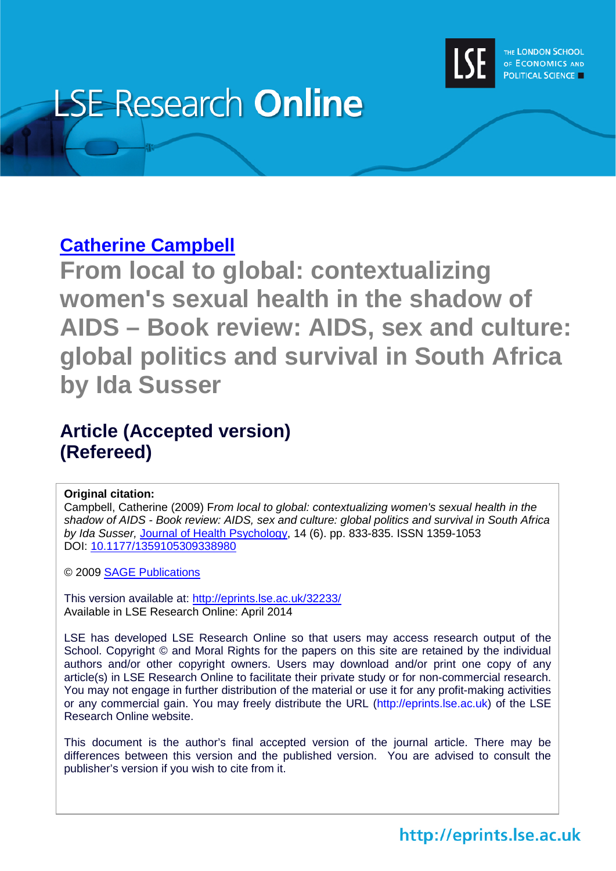

## **LSE Research Online**

## **[Catherine Campbell](http://www.lse.ac.uk/researchAndExpertise/Experts/profile.aspx?KeyValue=c.campbell@lse.ac.uk)**

**From local to global: contextualizing women's sexual health in the shadow of AIDS – Book review: AIDS, sex and culture: global politics and survival in South Africa by Ida Susser**

## **Article (Accepted version) (Refereed)**

## **Original citation:**

Campbell, Catherine (2009) F*rom local to global: contextualizing women's sexual health in the shadow of AIDS - Book review: AIDS, sex and culture: global politics and survival in South Africa by Ida Susser,* [Journal of Health Psychology,](http://hpq.sagepub.com/) 14 (6). pp. 833-835. ISSN 1359-1053 DOI: [10.1177/1359105309338980](http://dx.doi.org/10.1177/1359105309338980)

© 2009 [SAGE Publications](http://www.sagepub.com/) 

This version available at:<http://eprints.lse.ac.uk/32233/> Available in LSE Research Online: April 2014

LSE has developed LSE Research Online so that users may access research output of the School. Copyright © and Moral Rights for the papers on this site are retained by the individual authors and/or other copyright owners. Users may download and/or print one copy of any article(s) in LSE Research Online to facilitate their private study or for non-commercial research. You may not engage in further distribution of the material or use it for any profit-making activities or any commercial gain. You may freely distribute the URL (http://eprints.lse.ac.uk) of the LSE Research Online website.

This document is the author's final accepted version of the journal article. There may be differences between this version and the published version. You are advised to consult the publisher's version if you wish to cite from it.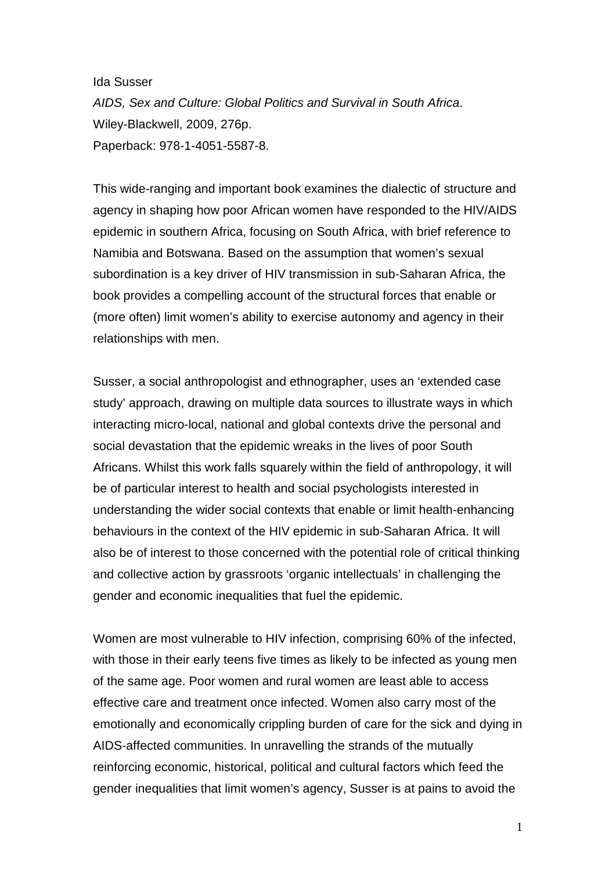Ida Susser *AIDS, Sex and Culture: Global Politics and Survival in South Africa*. Wiley-Blackwell, 2009, 276p. Paperback: 978-1-4051-5587-8.

This wide-ranging and important book examines the dialectic of structure and agency in shaping how poor African women have responded to the HIV/AIDS epidemic in southern Africa, focusing on South Africa, with brief reference to Namibia and Botswana. Based on the assumption that women's sexual subordination is a key driver of HIV transmission in sub-Saharan Africa, the book provides a compelling account of the structural forces that enable or (more often) limit women's ability to exercise autonomy and agency in their relationships with men.

Susser, a social anthropologist and ethnographer, uses an 'extended case study' approach, drawing on multiple data sources to illustrate ways in which interacting micro-local, national and global contexts drive the personal and social devastation that the epidemic wreaks in the lives of poor South Africans. Whilst this work falls squarely within the field of anthropology, it will be of particular interest to health and social psychologists interested in understanding the wider social contexts that enable or limit health-enhancing behaviours in the context of the HIV epidemic in sub-Saharan Africa. It will also be of interest to those concerned with the potential role of critical thinking and collective action by grassroots 'organic intellectuals' in challenging the gender and economic inequalities that fuel the epidemic.

Women are most vulnerable to HIV infection, comprising 60% of the infected, with those in their early teens five times as likely to be infected as young men of the same age. Poor women and rural women are least able to access effective care and treatment once infected. Women also carry most of the emotionally and economically crippling burden of care for the sick and dying in AIDS-affected communities. In unravelling the strands of the mutually reinforcing economic, historical, political and cultural factors which feed the gender inequalities that limit women's agency, Susser is at pains to avoid the

1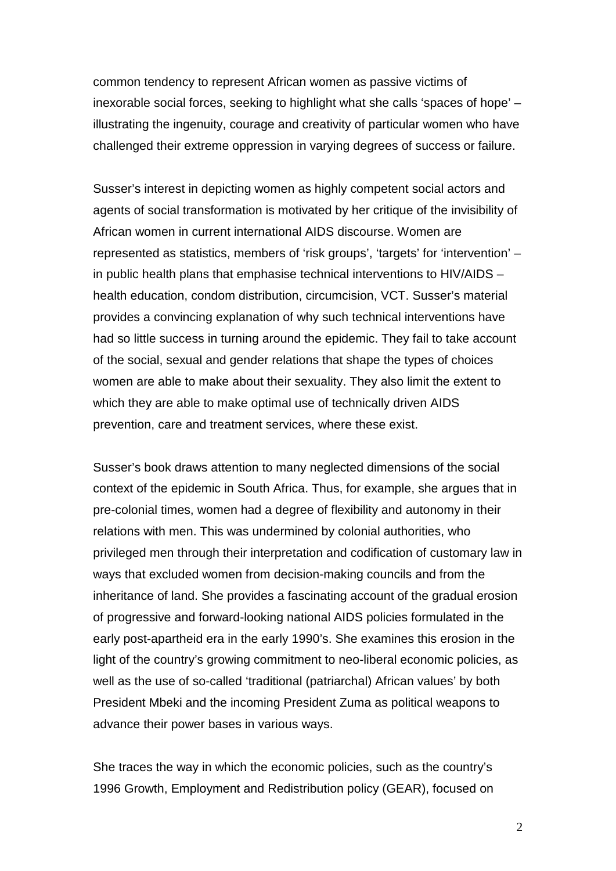common tendency to represent African women as passive victims of inexorable social forces, seeking to highlight what she calls 'spaces of hope' – illustrating the ingenuity, courage and creativity of particular women who have challenged their extreme oppression in varying degrees of success or failure.

Susser's interest in depicting women as highly competent social actors and agents of social transformation is motivated by her critique of the invisibility of African women in current international AIDS discourse. Women are represented as statistics, members of 'risk groups', 'targets' for 'intervention' – in public health plans that emphasise technical interventions to HIV/AIDS – health education, condom distribution, circumcision, VCT. Susser's material provides a convincing explanation of why such technical interventions have had so little success in turning around the epidemic. They fail to take account of the social, sexual and gender relations that shape the types of choices women are able to make about their sexuality. They also limit the extent to which they are able to make optimal use of technically driven AIDS prevention, care and treatment services, where these exist.

Susser's book draws attention to many neglected dimensions of the social context of the epidemic in South Africa. Thus, for example, she argues that in pre-colonial times, women had a degree of flexibility and autonomy in their relations with men. This was undermined by colonial authorities, who privileged men through their interpretation and codification of customary law in ways that excluded women from decision-making councils and from the inheritance of land. She provides a fascinating account of the gradual erosion of progressive and forward-looking national AIDS policies formulated in the early post-apartheid era in the early 1990's. She examines this erosion in the light of the country's growing commitment to neo-liberal economic policies, as well as the use of so-called 'traditional (patriarchal) African values' by both President Mbeki and the incoming President Zuma as political weapons to advance their power bases in various ways.

She traces the way in which the economic policies, such as the country's 1996 Growth, Employment and Redistribution policy (GEAR), focused on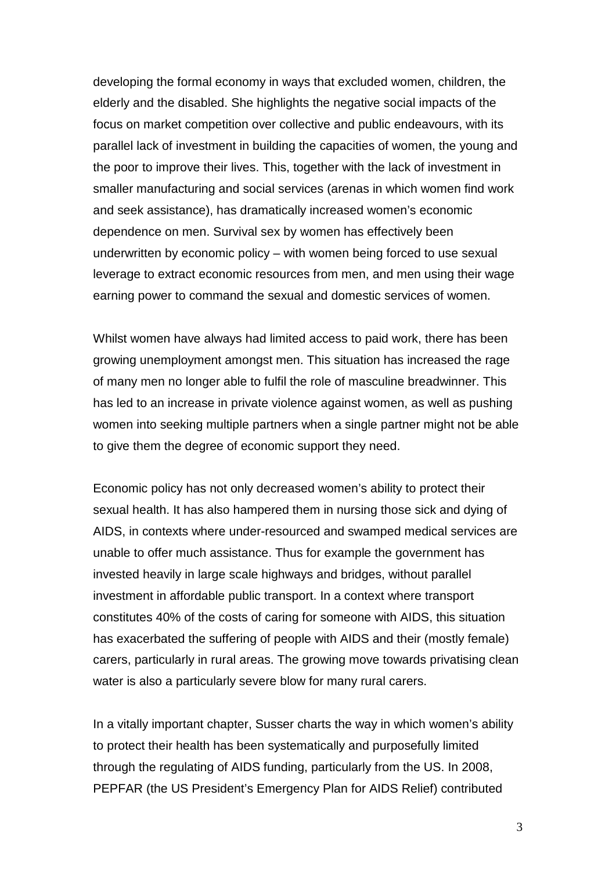developing the formal economy in ways that excluded women, children, the elderly and the disabled. She highlights the negative social impacts of the focus on market competition over collective and public endeavours, with its parallel lack of investment in building the capacities of women, the young and the poor to improve their lives. This, together with the lack of investment in smaller manufacturing and social services (arenas in which women find work and seek assistance), has dramatically increased women's economic dependence on men. Survival sex by women has effectively been underwritten by economic policy – with women being forced to use sexual leverage to extract economic resources from men, and men using their wage earning power to command the sexual and domestic services of women.

Whilst women have always had limited access to paid work, there has been growing unemployment amongst men. This situation has increased the rage of many men no longer able to fulfil the role of masculine breadwinner. This has led to an increase in private violence against women, as well as pushing women into seeking multiple partners when a single partner might not be able to give them the degree of economic support they need.

Economic policy has not only decreased women's ability to protect their sexual health. It has also hampered them in nursing those sick and dying of AIDS, in contexts where under-resourced and swamped medical services are unable to offer much assistance. Thus for example the government has invested heavily in large scale highways and bridges, without parallel investment in affordable public transport. In a context where transport constitutes 40% of the costs of caring for someone with AIDS, this situation has exacerbated the suffering of people with AIDS and their (mostly female) carers, particularly in rural areas. The growing move towards privatising clean water is also a particularly severe blow for many rural carers.

In a vitally important chapter, Susser charts the way in which women's ability to protect their health has been systematically and purposefully limited through the regulating of AIDS funding, particularly from the US. In 2008, PEPFAR (the US President's Emergency Plan for AIDS Relief) contributed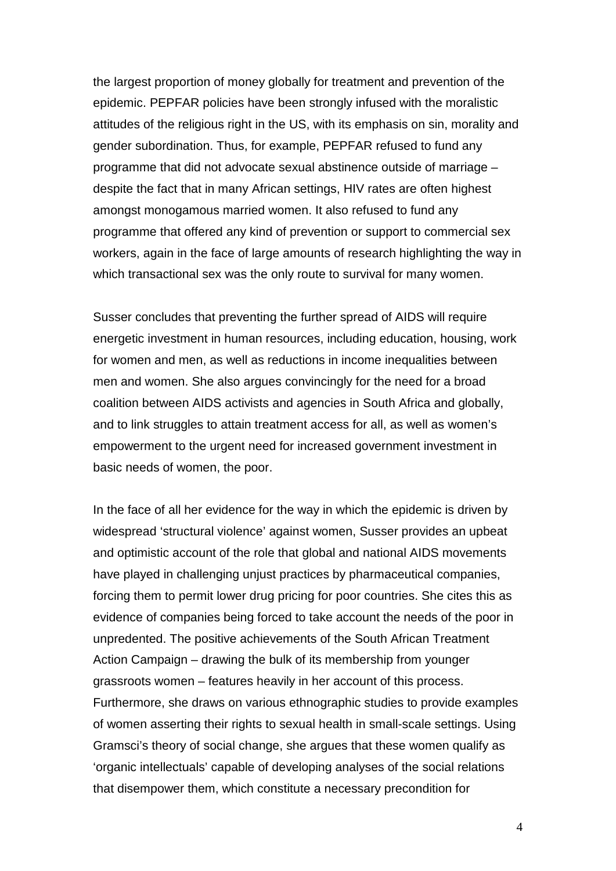the largest proportion of money globally for treatment and prevention of the epidemic. PEPFAR policies have been strongly infused with the moralistic attitudes of the religious right in the US, with its emphasis on sin, morality and gender subordination. Thus, for example, PEPFAR refused to fund any programme that did not advocate sexual abstinence outside of marriage – despite the fact that in many African settings, HIV rates are often highest amongst monogamous married women. It also refused to fund any programme that offered any kind of prevention or support to commercial sex workers, again in the face of large amounts of research highlighting the way in which transactional sex was the only route to survival for many women.

Susser concludes that preventing the further spread of AIDS will require energetic investment in human resources, including education, housing, work for women and men, as well as reductions in income inequalities between men and women. She also argues convincingly for the need for a broad coalition between AIDS activists and agencies in South Africa and globally, and to link struggles to attain treatment access for all, as well as women's empowerment to the urgent need for increased government investment in basic needs of women, the poor.

In the face of all her evidence for the way in which the epidemic is driven by widespread 'structural violence' against women, Susser provides an upbeat and optimistic account of the role that global and national AIDS movements have played in challenging unjust practices by pharmaceutical companies, forcing them to permit lower drug pricing for poor countries. She cites this as evidence of companies being forced to take account the needs of the poor in unpredented. The positive achievements of the South African Treatment Action Campaign – drawing the bulk of its membership from younger grassroots women – features heavily in her account of this process. Furthermore, she draws on various ethnographic studies to provide examples of women asserting their rights to sexual health in small-scale settings. Using Gramsci's theory of social change, she argues that these women qualify as 'organic intellectuals' capable of developing analyses of the social relations that disempower them, which constitute a necessary precondition for

4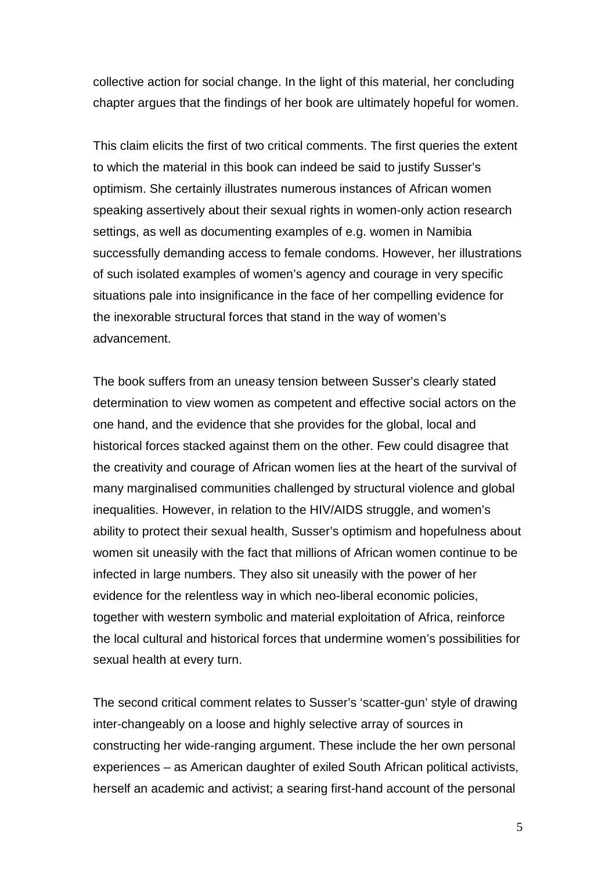collective action for social change. In the light of this material, her concluding chapter argues that the findings of her book are ultimately hopeful for women.

This claim elicits the first of two critical comments. The first queries the extent to which the material in this book can indeed be said to justify Susser's optimism. She certainly illustrates numerous instances of African women speaking assertively about their sexual rights in women-only action research settings, as well as documenting examples of e.g. women in Namibia successfully demanding access to female condoms. However, her illustrations of such isolated examples of women's agency and courage in very specific situations pale into insignificance in the face of her compelling evidence for the inexorable structural forces that stand in the way of women's advancement.

The book suffers from an uneasy tension between Susser's clearly stated determination to view women as competent and effective social actors on the one hand, and the evidence that she provides for the global, local and historical forces stacked against them on the other. Few could disagree that the creativity and courage of African women lies at the heart of the survival of many marginalised communities challenged by structural violence and global inequalities. However, in relation to the HIV/AIDS struggle, and women's ability to protect their sexual health, Susser's optimism and hopefulness about women sit uneasily with the fact that millions of African women continue to be infected in large numbers. They also sit uneasily with the power of her evidence for the relentless way in which neo-liberal economic policies, together with western symbolic and material exploitation of Africa, reinforce the local cultural and historical forces that undermine women's possibilities for sexual health at every turn.

The second critical comment relates to Susser's 'scatter-gun' style of drawing inter-changeably on a loose and highly selective array of sources in constructing her wide-ranging argument. These include the her own personal experiences – as American daughter of exiled South African political activists, herself an academic and activist; a searing first-hand account of the personal